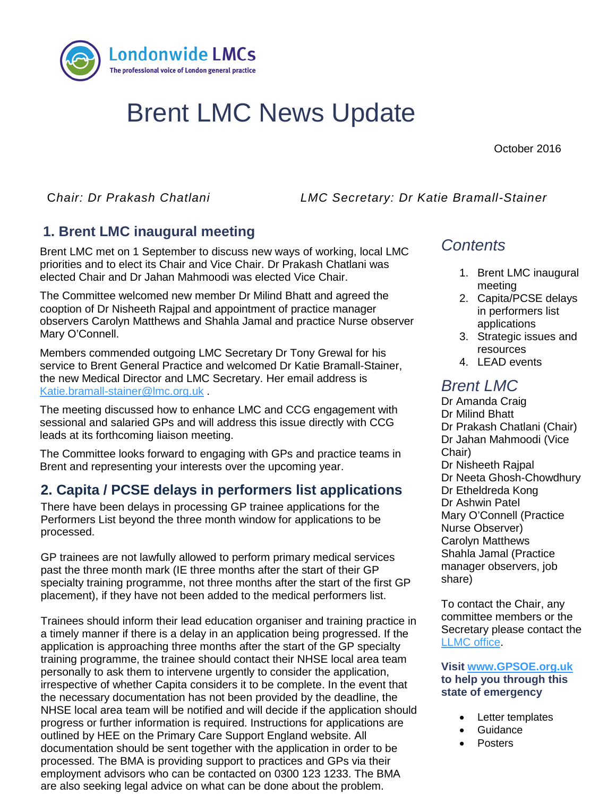

# Brent LMC News Update

October 2016

C*hair: Dr Prakash Chatlani LMC Secretary: Dr Katie Bramall-Stainer* 

# **1. Brent LMC inaugural meeting**

**1. TITLE** elected Chair and Dr Jahan Mahmoodi was elected Vice Chair. Brent LMC met on 1 September to discuss new ways of working, local LMC priorities and to elect its Chair and Vice Chair. Dr Prakash Chatlani was

The Committee welcomed new member Dr Milind Bhatt and agreed the cooption of Dr Nisheeth Rajpal and appointment of practice manager observers Carolyn Matthews and Shahla Jamal and practice Nurse observer Mary O'Connell.

Members commended outgoing LMC Secretary Dr Tony Grewal for his service to Brent General Practice and welcomed Dr Katie Bramall-Stainer, the new Medical Director and LMC Secretary. Her email address is [Katie.bramall-stainer@lmc.org.uk](mailto:Katie.bramall-stainer@lmc.org.uk) .

The meeting discussed how to enhance LMC and CCG engagement with sessional and salaried GPs and will address this issue directly with CCG leads at its forthcoming liaison meeting.

The Committee looks forward to engaging with GPs and practice teams in Brent and representing your interests over the upcoming year.

### **2. Capita / PCSE delays in performers list applications**

There have been delays in processing GP trainee applications for the Performers List beyond the three month window for applications to be processed.

GP trainees are not lawfully allowed to perform primary medical services past the three month mark (IE three months after the start of their GP specialty training programme, not three months after the start of the first GP placement), if they have not been added to the medical performers list.

Trainees should inform their lead education organiser and training practice in a timely manner if there is a delay in an application being progressed. If the application is approaching three months after the start of the GP specialty training programme, the trainee should contact their NHSE local area team personally to ask them to intervene urgently to consider the application, irrespective of whether Capita considers it to be complete. In the event that the necessary documentation has not been provided by the deadline, the NHSE local area team will be notified and will decide if the application should progress or further information is required. Instructions for applications are outlined by HEE on the Primary Care Support England website. All documentation should be sent together with the application in order to be processed. The BMA is providing support to practices and GPs via their employment advisors who can be contacted on 0300 123 1233. The BMA are also seeking legal advice on what can be done about the problem.

# *Contents*

- 1. Brent LMC inaugural meeting
- 2. Capita/PCSE delays in performers list applications
- 3. Strategic issues and resources
- 4. LEAD events

# *Brent LMC*

Dr Amanda Craig Dr Milind Bhatt Dr Prakash Chatlani (Chair) Dr Jahan Mahmoodi (Vice Chair) Dr Nisheeth Rajpal Dr Neeta Ghosh-Chowdhury Dr Etheldreda Kong Dr Ashwin Patel Mary O'Connell (Practice Nurse Observer) Carolyn Matthews Shahla Jamal (Practice manager observers, job share)

To contact the Chair, any committee members or the Secretary please contact the [LLMC office.](mailto:james.winstanley@lmc.org.uk)

**Visit [www.GPSOE.org.uk](http://www.gpsoe.org.uk/)  to help you through this state of emergency**

- Letter templates
- **Guidance**
- Posters